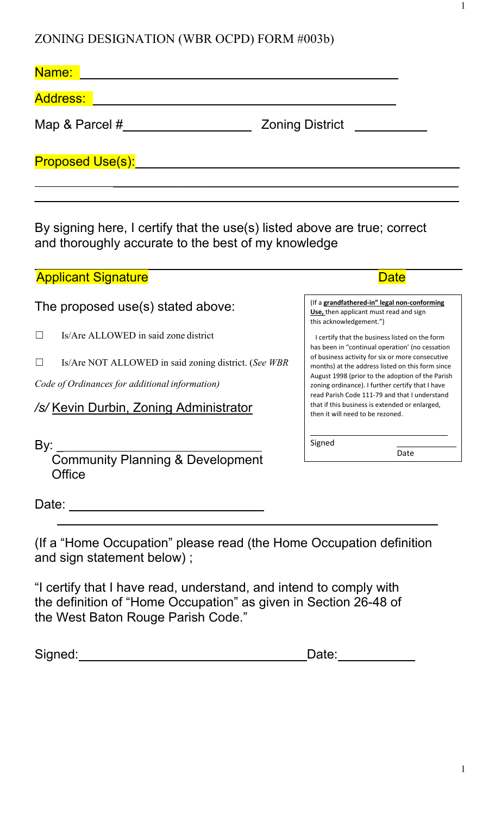ZONING DESIGNATION (WBR OCPD) FORM #003b)

| Name:            |                        |
|------------------|------------------------|
| <b>Address:</b>  |                        |
| Map & Parcel #   | <b>Zoning District</b> |
| Proposed Use(s): |                        |
|                  |                        |

By signing here, I certify that the use(s) listed above are true; correct and thoroughly accurate to the best of my knowledge

# Applicant Signature Applicant Signature Date Applicant Signature Date Date Date Date

# The proposed use(s) stated above:

- ☐ Is/Are ALLOWED in said zone district
- ☐ Is/Are NOT ALLOWED in said zoning district. (*See WBR*

*Code of Ordinances for additional information)*

# */s/* Kevin Durbin, Zoning Administrator

By: \_\_\_\_\_

Community Planning & Development **Office** 

I certify that the business listed on the form has been in "continual operation' (no cessation of business activity for six or more consecutive

this acknowledgement.")

months) at the address listed on this form since August 1998 (prior to the adoption of the Parish zoning ordinance). I further certify that I have read Parish Code 111-79 and that I understand that if this business is extended or enlarged, then it will need to be rezoned.

 $\overline{\phantom{a}}$  , which is a set of the set of the set of the set of the set of the set of the set of the set of the set of the set of the set of the set of the set of the set of the set of the set of the set of the set of th

(If a **grandfathered-in" legal non-conforming Use,** then applicant must read and sign

Signed

Date

1

Date: <u>University of the set of the set of the set of the set of the set of the set of the set of the set of the set of the set of the set of the set of the set of the set of the set of the set of the set of the set of the</u>

(If a "Home Occupation" please read (the Home Occupation definition and sign statement below) ;

"I certify that I have read, understand, and intend to comply with the definition of "Home Occupation" as given in Section 26-48 of the West Baton Rouge Parish Code."

Signed: Contract Contract Contract Contract Contract Contract Contract Contract Contract Contract Contract Contract Contract Contract Contract Contract Contract Contract Contract Contract Contract Contract Contract Contrac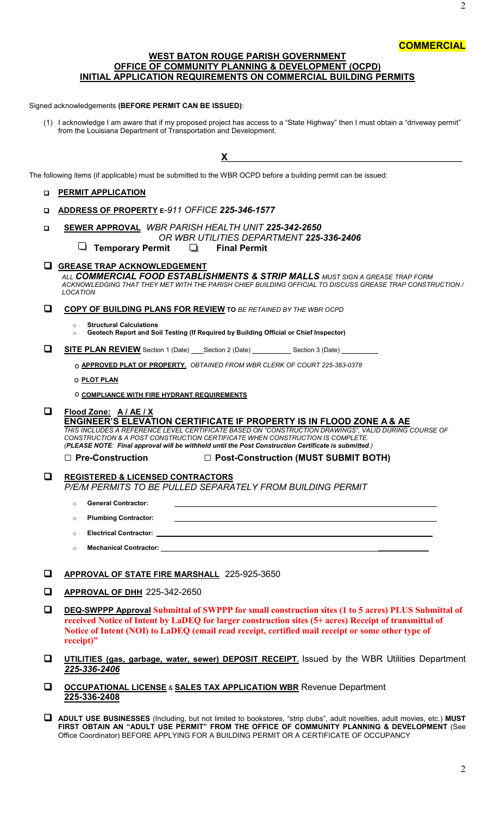# **COMMERCIAL**

## **WEST BATON ROUGE PARISH GOVERNMENT OFFICE OF COMMUNITY PLANNING & DEVELOPMENT (OCPD) INITIAL APPLICATION REQUIREMENTS ON COMMERCIAL BUILDING PERMITS**

Signed acknowledgements **(BEFORE PERMIT CAN BE ISSUED)**:

(1) I acknowledge I am aware that if my proposed project has access to a "State Highway" then I must obtain a "driveway permit" from the Louisiana Department of Transportation and Development.

**X**\_\_\_\_\_\_\_\_\_\_\_\_\_\_\_\_\_\_\_\_\_\_\_\_\_\_\_\_\_\_\_\_\_\_\_\_\_\_\_\_\_\_\_\_\_\_\_\_\_\_\_\_\_\_\_\_\_\_

The following items (if applicable) must be submitted to the WBR OCPD before a building permit can be issued:

## **PERMIT APPLICATION**

- **ADDRESS OF PROPERTY E***-911 OFFICE 225-346-1577*
- **SEWER APPROVAL** *WBR PARISH HEALTH UNIT 225-342-2650*
	- *OR WBR UTILITIES DEPARTMENT 225-336-2406*  $\Box$  **Temporary Permit** 
		-
- **GREASE TRAP ACKNOWLEDGEMENT**

*ALL COMMERCIAL FOOD ESTABLISHMENTS & STRIP MALLS MUST SIGN A GREASE TRAP FORM ACKNOWLEDGING THAT THEY MET WITH THE PARISH CHIEF BUILDING OFFICIAL TO DISCUSS GREASE TRAP CONSTRUCTION / LOCATION*

**COPY OF BUILDING PLANS FOR REVIEW TO** *BE RETAINED BY THE WBR OCPD*

o **Structural Calculations** 

o **Geotech Report and Soil Testing (If Required by Building Official or Chief Inspector)**

**SITE PLAN REVIEW** Section 1 (Date) Section 2 (Date) Section 3 (Date)

**APPROVED PLAT OF PROPERTY.** *OBTAINED FROM WBR CLERK OF COURT 225-383-0378*

**PLOT PLAN**

**COMPLIANCE WITH FIRE HYDRANT REQUIREMENTS** 

**Flood Zone: A / AE / X**

**ENGINEER'S ELEVATION CERTIFICATE IF PROPERTY IS IN FLOOD ZONE A & AE** 

*THIS INCLUDES A REFERENCE LEVEL CERTIFICATE BASED ON "CONSTRUCTION DRAWINGS", VALID DURING COURSE OF CONSTRUCTION & A POST CONSTRUCTION CERTIFICATE WHEN CONSTRUCTION IS COMPLETE. (PLEASE NOTE: Final approval will be withheld until the Post Construction Certificate is submitted.)* 

**□ Pre-Construction □ Post-Construction (MUST SUBMIT BOTH)**

- **REGISTERED & LICENSED CONTRACTORS**  *P/E/M PERMITS TO BE PULLED SEPARATELY FROM BUILDING PERMIT*
	- o **General Contractor:**
	- o **Plumbing Contractor:**
	- o **Electrical Contractor: \_\_\_\_\_\_\_**
	- o **Mechanical Contractor: \_\_\_\_\_\_\_\_\_\_\_\_\_\_**

### **APPROVAL OF STATE FIRE MARSHALL** 225-925-3650

- **APPROVAL OF DHH** 225-342-2650
- **DEQ-SWPPP Approval Submittal of SWPPP for small construction sites (1 to 5 acres) PLUS Submittal of received Notice of Intent by LaDEQ for larger construction sites (5+ acres) Receipt of transmittal of Notice of Intent (NOI) to LaDEQ (email read receipt, certified mail receipt or some other type of receipt)"**
- **UTILITIES (gas, garbage, water, sewer) DEPOSIT RECEIPT.** Issued by the WBR Utilities Department *225-336-2406*
- **OCCUPATIONAL LICENSE** & **SALES TAX APPLICATION WBR** Revenue Department **225-336-2408**
- **ADULT USE BUSINESSES** (Including, but not limited to bookstores, "strip clubs", adult novelties, adult movies, etc.) **MUST FIRST OBTAIN AN "ADULT USE PERMIT" FROM THE OFFICE OF COMMUNITY PLANNING & DEVELOPMENT** (See Office Coordinator) BEFORE APPLYING FOR A BUILDING PERMIT OR A CERTIFICATE OF OCCUPANCY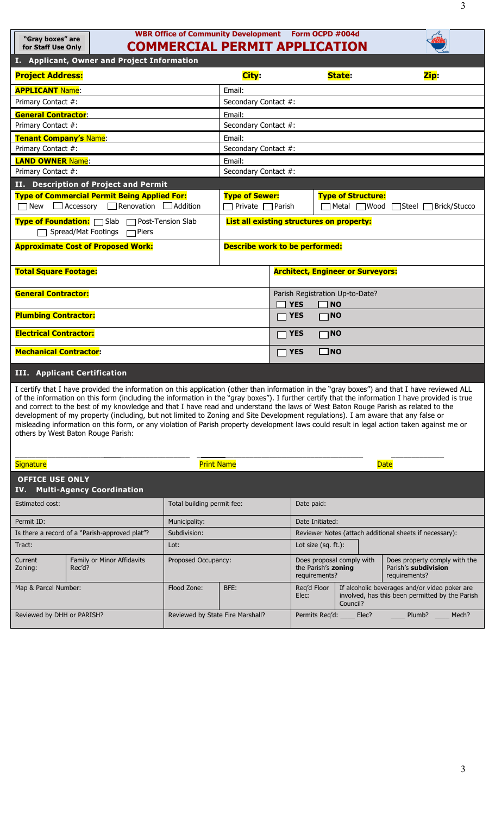|                                                                                                                      |                                                                                                                                                                                                                                                                                                                                                                                                                                                                                                                                                                                                                                                                                                                                                              | <b>WBR Office of Community Development Form OCPD #004d</b> |                                       |                                                                                    |                                                                                                            |                                          |                                                                                                  |  |
|----------------------------------------------------------------------------------------------------------------------|--------------------------------------------------------------------------------------------------------------------------------------------------------------------------------------------------------------------------------------------------------------------------------------------------------------------------------------------------------------------------------------------------------------------------------------------------------------------------------------------------------------------------------------------------------------------------------------------------------------------------------------------------------------------------------------------------------------------------------------------------------------|------------------------------------------------------------|---------------------------------------|------------------------------------------------------------------------------------|------------------------------------------------------------------------------------------------------------|------------------------------------------|--------------------------------------------------------------------------------------------------|--|
| "Gray boxes" are<br>for Staff Use Only                                                                               |                                                                                                                                                                                                                                                                                                                                                                                                                                                                                                                                                                                                                                                                                                                                                              | <b>COMMERCIAL PERMIT APPLICATION</b>                       |                                       |                                                                                    |                                                                                                            |                                          |                                                                                                  |  |
|                                                                                                                      | I. Applicant, Owner and Project Information                                                                                                                                                                                                                                                                                                                                                                                                                                                                                                                                                                                                                                                                                                                  |                                                            |                                       |                                                                                    |                                                                                                            |                                          |                                                                                                  |  |
| <b>Project Address:</b>                                                                                              |                                                                                                                                                                                                                                                                                                                                                                                                                                                                                                                                                                                                                                                                                                                                                              |                                                            | City:                                 |                                                                                    |                                                                                                            | <b>State:</b>                            | Zip:                                                                                             |  |
| <b>APPLICANT Name:</b>                                                                                               |                                                                                                                                                                                                                                                                                                                                                                                                                                                                                                                                                                                                                                                                                                                                                              |                                                            | Email:                                |                                                                                    |                                                                                                            |                                          |                                                                                                  |  |
| Primary Contact #:                                                                                                   |                                                                                                                                                                                                                                                                                                                                                                                                                                                                                                                                                                                                                                                                                                                                                              |                                                            | Secondary Contact #:                  |                                                                                    |                                                                                                            |                                          |                                                                                                  |  |
| <b>General Contractor:</b>                                                                                           |                                                                                                                                                                                                                                                                                                                                                                                                                                                                                                                                                                                                                                                                                                                                                              |                                                            | Email:                                |                                                                                    |                                                                                                            |                                          |                                                                                                  |  |
| Primary Contact #:                                                                                                   |                                                                                                                                                                                                                                                                                                                                                                                                                                                                                                                                                                                                                                                                                                                                                              |                                                            | Secondary Contact #:                  |                                                                                    |                                                                                                            |                                          |                                                                                                  |  |
| <b>Tenant Company's Name:</b>                                                                                        |                                                                                                                                                                                                                                                                                                                                                                                                                                                                                                                                                                                                                                                                                                                                                              |                                                            | Email:                                |                                                                                    |                                                                                                            |                                          |                                                                                                  |  |
| Primary Contact #:                                                                                                   |                                                                                                                                                                                                                                                                                                                                                                                                                                                                                                                                                                                                                                                                                                                                                              |                                                            | Secondary Contact #:                  |                                                                                    |                                                                                                            |                                          |                                                                                                  |  |
| <b>LAND OWNER Name:</b>                                                                                              |                                                                                                                                                                                                                                                                                                                                                                                                                                                                                                                                                                                                                                                                                                                                                              |                                                            | Email:                                |                                                                                    |                                                                                                            |                                          |                                                                                                  |  |
| Primary Contact #:                                                                                                   |                                                                                                                                                                                                                                                                                                                                                                                                                                                                                                                                                                                                                                                                                                                                                              |                                                            | Secondary Contact #:                  |                                                                                    |                                                                                                            |                                          |                                                                                                  |  |
|                                                                                                                      | II. Description of Project and Permit                                                                                                                                                                                                                                                                                                                                                                                                                                                                                                                                                                                                                                                                                                                        |                                                            |                                       |                                                                                    |                                                                                                            |                                          |                                                                                                  |  |
| <b>Type of Commercial Permit Being Applied For:</b><br>$\Box$ New $\Box$ Accessory $\Box$ Renovation $\Box$ Addition |                                                                                                                                                                                                                                                                                                                                                                                                                                                                                                                                                                                                                                                                                                                                                              |                                                            |                                       | <b>Type of Sewer:</b><br><b>Type of Structure:</b><br>$\Box$ Private $\Box$ Parish |                                                                                                            | □ Metal ■ Wood ■ Steel ■ Brick/Stucco    |                                                                                                  |  |
| Type of Foundation: □ Slab □ Post-Tension Slab<br>Spread/Mat Footings<br>⊣Piers                                      |                                                                                                                                                                                                                                                                                                                                                                                                                                                                                                                                                                                                                                                                                                                                                              |                                                            |                                       | List all existing structures on property:                                          |                                                                                                            |                                          |                                                                                                  |  |
| <b>Approximate Cost of Proposed Work:</b>                                                                            |                                                                                                                                                                                                                                                                                                                                                                                                                                                                                                                                                                                                                                                                                                                                                              |                                                            | <b>Describe work to be performed:</b> |                                                                                    |                                                                                                            |                                          |                                                                                                  |  |
| <b>Total Square Footage:</b>                                                                                         |                                                                                                                                                                                                                                                                                                                                                                                                                                                                                                                                                                                                                                                                                                                                                              |                                                            |                                       |                                                                                    |                                                                                                            | <b>Architect, Engineer or Surveyors:</b> |                                                                                                  |  |
| <b>General Contractor:</b>                                                                                           |                                                                                                                                                                                                                                                                                                                                                                                                                                                                                                                                                                                                                                                                                                                                                              |                                                            |                                       | Parish Registration Up-to-Date?<br><b>YES</b><br>$\sqcap$ NO                       |                                                                                                            |                                          |                                                                                                  |  |
| <b>Plumbing Contractor:</b>                                                                                          |                                                                                                                                                                                                                                                                                                                                                                                                                                                                                                                                                                                                                                                                                                                                                              |                                                            |                                       | <b>YES</b>                                                                         | $\Box$ NO                                                                                                  |                                          |                                                                                                  |  |
| <b>Electrical Contractor:</b>                                                                                        |                                                                                                                                                                                                                                                                                                                                                                                                                                                                                                                                                                                                                                                                                                                                                              |                                                            |                                       | <b>YES</b>                                                                         | $\Box$ NO                                                                                                  |                                          |                                                                                                  |  |
| <b>Mechanical Contractor:</b>                                                                                        |                                                                                                                                                                                                                                                                                                                                                                                                                                                                                                                                                                                                                                                                                                                                                              |                                                            |                                       | $\neg$ YES                                                                         | $\square$ NO                                                                                               |                                          |                                                                                                  |  |
|                                                                                                                      | <b>III.</b> Applicant Certification                                                                                                                                                                                                                                                                                                                                                                                                                                                                                                                                                                                                                                                                                                                          |                                                            |                                       |                                                                                    |                                                                                                            |                                          |                                                                                                  |  |
|                                                                                                                      | I certify that I have provided the information on this application (other than information in the "gray boxes") and that I have reviewed ALL<br>of the information on this form (including the information in the "gray boxes"). I further certify that the information I have provided is true<br>and correct to the best of my knowledge and that I have read and understand the laws of West Baton Rouge Parish as related to the<br>development of my property (including, but not limited to Zoning and Site Development regulations). I am aware that any false or<br>misleading information on this form, or any violation of Parish property development laws could result in legal action taken against me or<br>others by West Baton Rouge Parish: |                                                            |                                       |                                                                                    |                                                                                                            |                                          |                                                                                                  |  |
| <b>Signature</b>                                                                                                     |                                                                                                                                                                                                                                                                                                                                                                                                                                                                                                                                                                                                                                                                                                                                                              | <b>Print Name</b>                                          |                                       |                                                                                    |                                                                                                            |                                          | <b>Date</b>                                                                                      |  |
| <b>OFFICE USE ONLY</b><br>IV.                                                                                        | <b>Multi-Agency Coordination</b>                                                                                                                                                                                                                                                                                                                                                                                                                                                                                                                                                                                                                                                                                                                             |                                                            |                                       |                                                                                    |                                                                                                            |                                          |                                                                                                  |  |
| <b>Estimated cost:</b>                                                                                               |                                                                                                                                                                                                                                                                                                                                                                                                                                                                                                                                                                                                                                                                                                                                                              | Total building permit fee:                                 |                                       |                                                                                    | Date paid:                                                                                                 |                                          |                                                                                                  |  |
| Permit ID:<br>Municipality:                                                                                          |                                                                                                                                                                                                                                                                                                                                                                                                                                                                                                                                                                                                                                                                                                                                                              |                                                            | Date Initiated:                       |                                                                                    |                                                                                                            |                                          |                                                                                                  |  |
| Is there a record of a "Parish-approved plat"?<br>Subdivision:                                                       |                                                                                                                                                                                                                                                                                                                                                                                                                                                                                                                                                                                                                                                                                                                                                              |                                                            |                                       | Reviewer Notes (attach additional sheets if necessary):                            |                                                                                                            |                                          |                                                                                                  |  |
| Tract:<br>Lot:                                                                                                       |                                                                                                                                                                                                                                                                                                                                                                                                                                                                                                                                                                                                                                                                                                                                                              |                                                            |                                       | Lot size $(sq. ft.)$ :                                                             |                                                                                                            |                                          |                                                                                                  |  |
| Current<br>Zoning:                                                                                                   | Family or Minor Affidavits<br>Rec'd?                                                                                                                                                                                                                                                                                                                                                                                                                                                                                                                                                                                                                                                                                                                         | Proposed Occupancy:                                        |                                       |                                                                                    | Does proposal comply with<br>the Parish's zoning<br>Parish's subdivision<br>requirements?<br>requirements? |                                          | Does property comply with the                                                                    |  |
| Map & Parcel Number:                                                                                                 |                                                                                                                                                                                                                                                                                                                                                                                                                                                                                                                                                                                                                                                                                                                                                              | Flood Zone:                                                | BFE:                                  | Elec:                                                                              | Req'd Floor                                                                                                | Council?                                 | If alcoholic beverages and/or video poker are<br>involved, has this been permitted by the Parish |  |

Reviewed by DHH or PARISH? Reviewed by State Fire Marshall? Permits Req'd: \_\_\_\_ Elec? \_\_\_\_\_\_ Plumb? \_\_\_\_ Mech?

3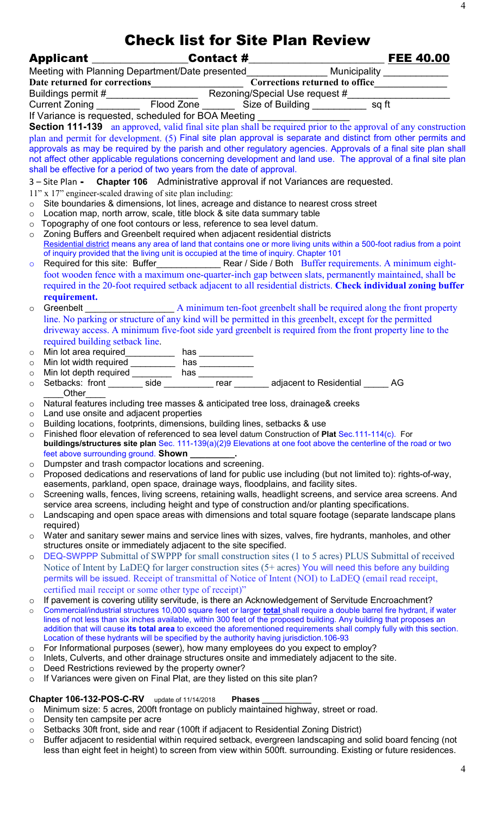| Meeting with Planning Department/Date presented_________________ Municipality ____________<br>If Variance is requested, scheduled for BOA Meeting<br>Section 111-139 an approved, valid final site plan shall be required prior to the approval of any construction<br>plan and permit for development. (5) Final site plan approval is separate and distinct from other permits and<br>approvals as may be required by the parish and other regulatory agencies. Approvals of a final site plan shall<br>not affect other applicable regulations concerning development and land use. The approval of a final site plan<br>shall be effective for a period of two years from the date of approval.<br>3 – Site Plan - Chapter 106 Administrative approval if not Variances are requested.<br>11" x 17" engineer-scaled drawing of site plan including:<br>Site boundaries & dimensions, lot lines, acreage and distance to nearest cross street<br>$\circ$<br>Location map, north arrow, scale, title block & site data summary table<br>$\circ$<br>Topography of one foot contours or less, reference to sea level datum.<br>$\circ$<br>Zoning Buffers and Greenbelt required when adjacent residential districts<br>$\circ$<br>Residential district means any area of land that contains one or more living units within a 500-foot radius from a point<br>of inquiry provided that the living unit is occupied at the time of inquiry. Chapter 101<br>$\circ$<br>foot wooden fence with a maximum one-quarter-inch gap between slats, permanently maintained, shall be<br>required in the 20-foot required setback adjacent to all residential districts. Check individual zoning buffer<br>requirement.<br>$\circ$<br>line. No parking or structure of any kind will be permitted in this greenbelt, except for the permitted<br>driveway access. A minimum five-foot side yard greenbelt is required from the front property line to the<br>required building setback line.<br>$\circ$<br>$\circ$<br>$\circ$<br>$\circ$<br>Other<br>Natural features including tree masses & anticipated tree loss, drainage& creeks<br>$\circ$<br>Land use onsite and adjacent properties<br>$\circ$<br>Building locations, footprints, dimensions, building lines, setbacks & use<br>$\circ$<br>Finished floor elevation of referenced to sea level datum Construction of Plat Sec.111-114(c). For<br>$\circ$<br>buildings/structures site plan Sec. 111-139(a)(2)9 Elevations at one foot above the centerline of the road or two<br>feet above surrounding ground. Shown<br>Dumpster and trash compactor locations and screening.<br>$\circ$<br>Proposed dedications and reservations of land for public use including (but not limited to): rights-of-way,<br>$\circ$<br>easements, parkland, open space, drainage ways, floodplains, and facility sites.<br>Screening walls, fences, living screens, retaining walls, headlight screens, and service area screens. And<br>$\circ$<br>service area screens, including height and type of construction and/or planting specifications.<br>Landscaping and open space areas with dimensions and total square footage (separate landscape plans<br>$\circ$<br>required)<br>Water and sanitary sewer mains and service lines with sizes, valves, fire hydrants, manholes, and other<br>$\circ$<br>structures onsite or immediately adjacent to the site specified.<br>DEQ-SWPPP Submittal of SWPPP for small construction sites (1 to 5 acres) PLUS Submittal of received<br>$\circ$<br>Notice of Intent by LaDEQ for larger construction sites (5+ acres) You will need this before any building<br>permits will be issued. Receipt of transmittal of Notice of Intent (NOI) to LaDEQ (email read receipt,<br>certified mail receipt or some other type of receipt)"<br>If pavement is covering utility servitude, is there an Acknowledgement of Servitude Encroachment?<br>$\circ$<br>Commercial/industrial structures 10,000 square feet or larger total shall require a double barrel fire hydrant, if water<br>$\circ$<br>lines of not less than six inches available, within 300 feet of the proposed building. Any building that proposes an<br>addition that will cause its total area to exceed the aforementioned requirements shall comply fully with this section.<br>Location of these hydrants will be specified by the authority having jurisdiction.106-93<br>For Informational purposes (sewer), how many employees do you expect to employ?<br>$\circ$<br>Inlets, Culverts, and other drainage structures onsite and immediately adjacent to the site.<br>$\circ$<br>Deed Restrictions reviewed by the property owner?<br>$\circ$ |  | <b>Check list for Site Plan Review</b> |  |
|---------------------------------------------------------------------------------------------------------------------------------------------------------------------------------------------------------------------------------------------------------------------------------------------------------------------------------------------------------------------------------------------------------------------------------------------------------------------------------------------------------------------------------------------------------------------------------------------------------------------------------------------------------------------------------------------------------------------------------------------------------------------------------------------------------------------------------------------------------------------------------------------------------------------------------------------------------------------------------------------------------------------------------------------------------------------------------------------------------------------------------------------------------------------------------------------------------------------------------------------------------------------------------------------------------------------------------------------------------------------------------------------------------------------------------------------------------------------------------------------------------------------------------------------------------------------------------------------------------------------------------------------------------------------------------------------------------------------------------------------------------------------------------------------------------------------------------------------------------------------------------------------------------------------------------------------------------------------------------------------------------------------------------------------------------------------------------------------------------------------------------------------------------------------------------------------------------------------------------------------------------------------------------------------------------------------------------------------------------------------------------------------------------------------------------------------------------------------------------------------------------------------------------------------------------------------------------------------------------------------------------------------------------------------------------------------------------------------------------------------------------------------------------------------------------------------------------------------------------------------------------------------------------------------------------------------------------------------------------------------------------------------------------------------------------------------------------------------------------------------------------------------------------------------------------------------------------------------------------------------------------------------------------------------------------------------------------------------------------------------------------------------------------------------------------------------------------------------------------------------------------------------------------------------------------------------------------------------------------------------------------------------------------------------------------------------------------------------------------------------------------------------------------------------------------------------------------------------------------------------------------------------------------------------------------------------------------------------------------------------------------------------------------------------------------------------------------------------------------------------------------------------------------------------------------------------------------------------------------------------------------------------------------------------------------------------------------------------------------------------------------------------------------------------------------------------------------------------------------------------------------------------------------------------------------------------------------------------------------------------------------------------------------------------------------------------|--|----------------------------------------|--|
|                                                                                                                                                                                                                                                                                                                                                                                                                                                                                                                                                                                                                                                                                                                                                                                                                                                                                                                                                                                                                                                                                                                                                                                                                                                                                                                                                                                                                                                                                                                                                                                                                                                                                                                                                                                                                                                                                                                                                                                                                                                                                                                                                                                                                                                                                                                                                                                                                                                                                                                                                                                                                                                                                                                                                                                                                                                                                                                                                                                                                                                                                                                                                                                                                                                                                                                                                                                                                                                                                                                                                                                                                                                                                                                                                                                                                                                                                                                                                                                                                                                                                                                                                                                                                                                                                                                                                                                                                                                                                                                                                                                                                                                                                             |  |                                        |  |
|                                                                                                                                                                                                                                                                                                                                                                                                                                                                                                                                                                                                                                                                                                                                                                                                                                                                                                                                                                                                                                                                                                                                                                                                                                                                                                                                                                                                                                                                                                                                                                                                                                                                                                                                                                                                                                                                                                                                                                                                                                                                                                                                                                                                                                                                                                                                                                                                                                                                                                                                                                                                                                                                                                                                                                                                                                                                                                                                                                                                                                                                                                                                                                                                                                                                                                                                                                                                                                                                                                                                                                                                                                                                                                                                                                                                                                                                                                                                                                                                                                                                                                                                                                                                                                                                                                                                                                                                                                                                                                                                                                                                                                                                                             |  |                                        |  |
|                                                                                                                                                                                                                                                                                                                                                                                                                                                                                                                                                                                                                                                                                                                                                                                                                                                                                                                                                                                                                                                                                                                                                                                                                                                                                                                                                                                                                                                                                                                                                                                                                                                                                                                                                                                                                                                                                                                                                                                                                                                                                                                                                                                                                                                                                                                                                                                                                                                                                                                                                                                                                                                                                                                                                                                                                                                                                                                                                                                                                                                                                                                                                                                                                                                                                                                                                                                                                                                                                                                                                                                                                                                                                                                                                                                                                                                                                                                                                                                                                                                                                                                                                                                                                                                                                                                                                                                                                                                                                                                                                                                                                                                                                             |  |                                        |  |
|                                                                                                                                                                                                                                                                                                                                                                                                                                                                                                                                                                                                                                                                                                                                                                                                                                                                                                                                                                                                                                                                                                                                                                                                                                                                                                                                                                                                                                                                                                                                                                                                                                                                                                                                                                                                                                                                                                                                                                                                                                                                                                                                                                                                                                                                                                                                                                                                                                                                                                                                                                                                                                                                                                                                                                                                                                                                                                                                                                                                                                                                                                                                                                                                                                                                                                                                                                                                                                                                                                                                                                                                                                                                                                                                                                                                                                                                                                                                                                                                                                                                                                                                                                                                                                                                                                                                                                                                                                                                                                                                                                                                                                                                                             |  |                                        |  |
|                                                                                                                                                                                                                                                                                                                                                                                                                                                                                                                                                                                                                                                                                                                                                                                                                                                                                                                                                                                                                                                                                                                                                                                                                                                                                                                                                                                                                                                                                                                                                                                                                                                                                                                                                                                                                                                                                                                                                                                                                                                                                                                                                                                                                                                                                                                                                                                                                                                                                                                                                                                                                                                                                                                                                                                                                                                                                                                                                                                                                                                                                                                                                                                                                                                                                                                                                                                                                                                                                                                                                                                                                                                                                                                                                                                                                                                                                                                                                                                                                                                                                                                                                                                                                                                                                                                                                                                                                                                                                                                                                                                                                                                                                             |  |                                        |  |
|                                                                                                                                                                                                                                                                                                                                                                                                                                                                                                                                                                                                                                                                                                                                                                                                                                                                                                                                                                                                                                                                                                                                                                                                                                                                                                                                                                                                                                                                                                                                                                                                                                                                                                                                                                                                                                                                                                                                                                                                                                                                                                                                                                                                                                                                                                                                                                                                                                                                                                                                                                                                                                                                                                                                                                                                                                                                                                                                                                                                                                                                                                                                                                                                                                                                                                                                                                                                                                                                                                                                                                                                                                                                                                                                                                                                                                                                                                                                                                                                                                                                                                                                                                                                                                                                                                                                                                                                                                                                                                                                                                                                                                                                                             |  |                                        |  |
|                                                                                                                                                                                                                                                                                                                                                                                                                                                                                                                                                                                                                                                                                                                                                                                                                                                                                                                                                                                                                                                                                                                                                                                                                                                                                                                                                                                                                                                                                                                                                                                                                                                                                                                                                                                                                                                                                                                                                                                                                                                                                                                                                                                                                                                                                                                                                                                                                                                                                                                                                                                                                                                                                                                                                                                                                                                                                                                                                                                                                                                                                                                                                                                                                                                                                                                                                                                                                                                                                                                                                                                                                                                                                                                                                                                                                                                                                                                                                                                                                                                                                                                                                                                                                                                                                                                                                                                                                                                                                                                                                                                                                                                                                             |  |                                        |  |
|                                                                                                                                                                                                                                                                                                                                                                                                                                                                                                                                                                                                                                                                                                                                                                                                                                                                                                                                                                                                                                                                                                                                                                                                                                                                                                                                                                                                                                                                                                                                                                                                                                                                                                                                                                                                                                                                                                                                                                                                                                                                                                                                                                                                                                                                                                                                                                                                                                                                                                                                                                                                                                                                                                                                                                                                                                                                                                                                                                                                                                                                                                                                                                                                                                                                                                                                                                                                                                                                                                                                                                                                                                                                                                                                                                                                                                                                                                                                                                                                                                                                                                                                                                                                                                                                                                                                                                                                                                                                                                                                                                                                                                                                                             |  |                                        |  |
|                                                                                                                                                                                                                                                                                                                                                                                                                                                                                                                                                                                                                                                                                                                                                                                                                                                                                                                                                                                                                                                                                                                                                                                                                                                                                                                                                                                                                                                                                                                                                                                                                                                                                                                                                                                                                                                                                                                                                                                                                                                                                                                                                                                                                                                                                                                                                                                                                                                                                                                                                                                                                                                                                                                                                                                                                                                                                                                                                                                                                                                                                                                                                                                                                                                                                                                                                                                                                                                                                                                                                                                                                                                                                                                                                                                                                                                                                                                                                                                                                                                                                                                                                                                                                                                                                                                                                                                                                                                                                                                                                                                                                                                                                             |  |                                        |  |
|                                                                                                                                                                                                                                                                                                                                                                                                                                                                                                                                                                                                                                                                                                                                                                                                                                                                                                                                                                                                                                                                                                                                                                                                                                                                                                                                                                                                                                                                                                                                                                                                                                                                                                                                                                                                                                                                                                                                                                                                                                                                                                                                                                                                                                                                                                                                                                                                                                                                                                                                                                                                                                                                                                                                                                                                                                                                                                                                                                                                                                                                                                                                                                                                                                                                                                                                                                                                                                                                                                                                                                                                                                                                                                                                                                                                                                                                                                                                                                                                                                                                                                                                                                                                                                                                                                                                                                                                                                                                                                                                                                                                                                                                                             |  |                                        |  |
|                                                                                                                                                                                                                                                                                                                                                                                                                                                                                                                                                                                                                                                                                                                                                                                                                                                                                                                                                                                                                                                                                                                                                                                                                                                                                                                                                                                                                                                                                                                                                                                                                                                                                                                                                                                                                                                                                                                                                                                                                                                                                                                                                                                                                                                                                                                                                                                                                                                                                                                                                                                                                                                                                                                                                                                                                                                                                                                                                                                                                                                                                                                                                                                                                                                                                                                                                                                                                                                                                                                                                                                                                                                                                                                                                                                                                                                                                                                                                                                                                                                                                                                                                                                                                                                                                                                                                                                                                                                                                                                                                                                                                                                                                             |  |                                        |  |
|                                                                                                                                                                                                                                                                                                                                                                                                                                                                                                                                                                                                                                                                                                                                                                                                                                                                                                                                                                                                                                                                                                                                                                                                                                                                                                                                                                                                                                                                                                                                                                                                                                                                                                                                                                                                                                                                                                                                                                                                                                                                                                                                                                                                                                                                                                                                                                                                                                                                                                                                                                                                                                                                                                                                                                                                                                                                                                                                                                                                                                                                                                                                                                                                                                                                                                                                                                                                                                                                                                                                                                                                                                                                                                                                                                                                                                                                                                                                                                                                                                                                                                                                                                                                                                                                                                                                                                                                                                                                                                                                                                                                                                                                                             |  |                                        |  |
|                                                                                                                                                                                                                                                                                                                                                                                                                                                                                                                                                                                                                                                                                                                                                                                                                                                                                                                                                                                                                                                                                                                                                                                                                                                                                                                                                                                                                                                                                                                                                                                                                                                                                                                                                                                                                                                                                                                                                                                                                                                                                                                                                                                                                                                                                                                                                                                                                                                                                                                                                                                                                                                                                                                                                                                                                                                                                                                                                                                                                                                                                                                                                                                                                                                                                                                                                                                                                                                                                                                                                                                                                                                                                                                                                                                                                                                                                                                                                                                                                                                                                                                                                                                                                                                                                                                                                                                                                                                                                                                                                                                                                                                                                             |  |                                        |  |
|                                                                                                                                                                                                                                                                                                                                                                                                                                                                                                                                                                                                                                                                                                                                                                                                                                                                                                                                                                                                                                                                                                                                                                                                                                                                                                                                                                                                                                                                                                                                                                                                                                                                                                                                                                                                                                                                                                                                                                                                                                                                                                                                                                                                                                                                                                                                                                                                                                                                                                                                                                                                                                                                                                                                                                                                                                                                                                                                                                                                                                                                                                                                                                                                                                                                                                                                                                                                                                                                                                                                                                                                                                                                                                                                                                                                                                                                                                                                                                                                                                                                                                                                                                                                                                                                                                                                                                                                                                                                                                                                                                                                                                                                                             |  |                                        |  |
|                                                                                                                                                                                                                                                                                                                                                                                                                                                                                                                                                                                                                                                                                                                                                                                                                                                                                                                                                                                                                                                                                                                                                                                                                                                                                                                                                                                                                                                                                                                                                                                                                                                                                                                                                                                                                                                                                                                                                                                                                                                                                                                                                                                                                                                                                                                                                                                                                                                                                                                                                                                                                                                                                                                                                                                                                                                                                                                                                                                                                                                                                                                                                                                                                                                                                                                                                                                                                                                                                                                                                                                                                                                                                                                                                                                                                                                                                                                                                                                                                                                                                                                                                                                                                                                                                                                                                                                                                                                                                                                                                                                                                                                                                             |  |                                        |  |
|                                                                                                                                                                                                                                                                                                                                                                                                                                                                                                                                                                                                                                                                                                                                                                                                                                                                                                                                                                                                                                                                                                                                                                                                                                                                                                                                                                                                                                                                                                                                                                                                                                                                                                                                                                                                                                                                                                                                                                                                                                                                                                                                                                                                                                                                                                                                                                                                                                                                                                                                                                                                                                                                                                                                                                                                                                                                                                                                                                                                                                                                                                                                                                                                                                                                                                                                                                                                                                                                                                                                                                                                                                                                                                                                                                                                                                                                                                                                                                                                                                                                                                                                                                                                                                                                                                                                                                                                                                                                                                                                                                                                                                                                                             |  |                                        |  |
|                                                                                                                                                                                                                                                                                                                                                                                                                                                                                                                                                                                                                                                                                                                                                                                                                                                                                                                                                                                                                                                                                                                                                                                                                                                                                                                                                                                                                                                                                                                                                                                                                                                                                                                                                                                                                                                                                                                                                                                                                                                                                                                                                                                                                                                                                                                                                                                                                                                                                                                                                                                                                                                                                                                                                                                                                                                                                                                                                                                                                                                                                                                                                                                                                                                                                                                                                                                                                                                                                                                                                                                                                                                                                                                                                                                                                                                                                                                                                                                                                                                                                                                                                                                                                                                                                                                                                                                                                                                                                                                                                                                                                                                                                             |  |                                        |  |
|                                                                                                                                                                                                                                                                                                                                                                                                                                                                                                                                                                                                                                                                                                                                                                                                                                                                                                                                                                                                                                                                                                                                                                                                                                                                                                                                                                                                                                                                                                                                                                                                                                                                                                                                                                                                                                                                                                                                                                                                                                                                                                                                                                                                                                                                                                                                                                                                                                                                                                                                                                                                                                                                                                                                                                                                                                                                                                                                                                                                                                                                                                                                                                                                                                                                                                                                                                                                                                                                                                                                                                                                                                                                                                                                                                                                                                                                                                                                                                                                                                                                                                                                                                                                                                                                                                                                                                                                                                                                                                                                                                                                                                                                                             |  |                                        |  |
|                                                                                                                                                                                                                                                                                                                                                                                                                                                                                                                                                                                                                                                                                                                                                                                                                                                                                                                                                                                                                                                                                                                                                                                                                                                                                                                                                                                                                                                                                                                                                                                                                                                                                                                                                                                                                                                                                                                                                                                                                                                                                                                                                                                                                                                                                                                                                                                                                                                                                                                                                                                                                                                                                                                                                                                                                                                                                                                                                                                                                                                                                                                                                                                                                                                                                                                                                                                                                                                                                                                                                                                                                                                                                                                                                                                                                                                                                                                                                                                                                                                                                                                                                                                                                                                                                                                                                                                                                                                                                                                                                                                                                                                                                             |  |                                        |  |
|                                                                                                                                                                                                                                                                                                                                                                                                                                                                                                                                                                                                                                                                                                                                                                                                                                                                                                                                                                                                                                                                                                                                                                                                                                                                                                                                                                                                                                                                                                                                                                                                                                                                                                                                                                                                                                                                                                                                                                                                                                                                                                                                                                                                                                                                                                                                                                                                                                                                                                                                                                                                                                                                                                                                                                                                                                                                                                                                                                                                                                                                                                                                                                                                                                                                                                                                                                                                                                                                                                                                                                                                                                                                                                                                                                                                                                                                                                                                                                                                                                                                                                                                                                                                                                                                                                                                                                                                                                                                                                                                                                                                                                                                                             |  |                                        |  |
|                                                                                                                                                                                                                                                                                                                                                                                                                                                                                                                                                                                                                                                                                                                                                                                                                                                                                                                                                                                                                                                                                                                                                                                                                                                                                                                                                                                                                                                                                                                                                                                                                                                                                                                                                                                                                                                                                                                                                                                                                                                                                                                                                                                                                                                                                                                                                                                                                                                                                                                                                                                                                                                                                                                                                                                                                                                                                                                                                                                                                                                                                                                                                                                                                                                                                                                                                                                                                                                                                                                                                                                                                                                                                                                                                                                                                                                                                                                                                                                                                                                                                                                                                                                                                                                                                                                                                                                                                                                                                                                                                                                                                                                                                             |  |                                        |  |
|                                                                                                                                                                                                                                                                                                                                                                                                                                                                                                                                                                                                                                                                                                                                                                                                                                                                                                                                                                                                                                                                                                                                                                                                                                                                                                                                                                                                                                                                                                                                                                                                                                                                                                                                                                                                                                                                                                                                                                                                                                                                                                                                                                                                                                                                                                                                                                                                                                                                                                                                                                                                                                                                                                                                                                                                                                                                                                                                                                                                                                                                                                                                                                                                                                                                                                                                                                                                                                                                                                                                                                                                                                                                                                                                                                                                                                                                                                                                                                                                                                                                                                                                                                                                                                                                                                                                                                                                                                                                                                                                                                                                                                                                                             |  |                                        |  |
|                                                                                                                                                                                                                                                                                                                                                                                                                                                                                                                                                                                                                                                                                                                                                                                                                                                                                                                                                                                                                                                                                                                                                                                                                                                                                                                                                                                                                                                                                                                                                                                                                                                                                                                                                                                                                                                                                                                                                                                                                                                                                                                                                                                                                                                                                                                                                                                                                                                                                                                                                                                                                                                                                                                                                                                                                                                                                                                                                                                                                                                                                                                                                                                                                                                                                                                                                                                                                                                                                                                                                                                                                                                                                                                                                                                                                                                                                                                                                                                                                                                                                                                                                                                                                                                                                                                                                                                                                                                                                                                                                                                                                                                                                             |  |                                        |  |
|                                                                                                                                                                                                                                                                                                                                                                                                                                                                                                                                                                                                                                                                                                                                                                                                                                                                                                                                                                                                                                                                                                                                                                                                                                                                                                                                                                                                                                                                                                                                                                                                                                                                                                                                                                                                                                                                                                                                                                                                                                                                                                                                                                                                                                                                                                                                                                                                                                                                                                                                                                                                                                                                                                                                                                                                                                                                                                                                                                                                                                                                                                                                                                                                                                                                                                                                                                                                                                                                                                                                                                                                                                                                                                                                                                                                                                                                                                                                                                                                                                                                                                                                                                                                                                                                                                                                                                                                                                                                                                                                                                                                                                                                                             |  |                                        |  |
|                                                                                                                                                                                                                                                                                                                                                                                                                                                                                                                                                                                                                                                                                                                                                                                                                                                                                                                                                                                                                                                                                                                                                                                                                                                                                                                                                                                                                                                                                                                                                                                                                                                                                                                                                                                                                                                                                                                                                                                                                                                                                                                                                                                                                                                                                                                                                                                                                                                                                                                                                                                                                                                                                                                                                                                                                                                                                                                                                                                                                                                                                                                                                                                                                                                                                                                                                                                                                                                                                                                                                                                                                                                                                                                                                                                                                                                                                                                                                                                                                                                                                                                                                                                                                                                                                                                                                                                                                                                                                                                                                                                                                                                                                             |  |                                        |  |
|                                                                                                                                                                                                                                                                                                                                                                                                                                                                                                                                                                                                                                                                                                                                                                                                                                                                                                                                                                                                                                                                                                                                                                                                                                                                                                                                                                                                                                                                                                                                                                                                                                                                                                                                                                                                                                                                                                                                                                                                                                                                                                                                                                                                                                                                                                                                                                                                                                                                                                                                                                                                                                                                                                                                                                                                                                                                                                                                                                                                                                                                                                                                                                                                                                                                                                                                                                                                                                                                                                                                                                                                                                                                                                                                                                                                                                                                                                                                                                                                                                                                                                                                                                                                                                                                                                                                                                                                                                                                                                                                                                                                                                                                                             |  |                                        |  |
|                                                                                                                                                                                                                                                                                                                                                                                                                                                                                                                                                                                                                                                                                                                                                                                                                                                                                                                                                                                                                                                                                                                                                                                                                                                                                                                                                                                                                                                                                                                                                                                                                                                                                                                                                                                                                                                                                                                                                                                                                                                                                                                                                                                                                                                                                                                                                                                                                                                                                                                                                                                                                                                                                                                                                                                                                                                                                                                                                                                                                                                                                                                                                                                                                                                                                                                                                                                                                                                                                                                                                                                                                                                                                                                                                                                                                                                                                                                                                                                                                                                                                                                                                                                                                                                                                                                                                                                                                                                                                                                                                                                                                                                                                             |  |                                        |  |
|                                                                                                                                                                                                                                                                                                                                                                                                                                                                                                                                                                                                                                                                                                                                                                                                                                                                                                                                                                                                                                                                                                                                                                                                                                                                                                                                                                                                                                                                                                                                                                                                                                                                                                                                                                                                                                                                                                                                                                                                                                                                                                                                                                                                                                                                                                                                                                                                                                                                                                                                                                                                                                                                                                                                                                                                                                                                                                                                                                                                                                                                                                                                                                                                                                                                                                                                                                                                                                                                                                                                                                                                                                                                                                                                                                                                                                                                                                                                                                                                                                                                                                                                                                                                                                                                                                                                                                                                                                                                                                                                                                                                                                                                                             |  |                                        |  |
|                                                                                                                                                                                                                                                                                                                                                                                                                                                                                                                                                                                                                                                                                                                                                                                                                                                                                                                                                                                                                                                                                                                                                                                                                                                                                                                                                                                                                                                                                                                                                                                                                                                                                                                                                                                                                                                                                                                                                                                                                                                                                                                                                                                                                                                                                                                                                                                                                                                                                                                                                                                                                                                                                                                                                                                                                                                                                                                                                                                                                                                                                                                                                                                                                                                                                                                                                                                                                                                                                                                                                                                                                                                                                                                                                                                                                                                                                                                                                                                                                                                                                                                                                                                                                                                                                                                                                                                                                                                                                                                                                                                                                                                                                             |  |                                        |  |
|                                                                                                                                                                                                                                                                                                                                                                                                                                                                                                                                                                                                                                                                                                                                                                                                                                                                                                                                                                                                                                                                                                                                                                                                                                                                                                                                                                                                                                                                                                                                                                                                                                                                                                                                                                                                                                                                                                                                                                                                                                                                                                                                                                                                                                                                                                                                                                                                                                                                                                                                                                                                                                                                                                                                                                                                                                                                                                                                                                                                                                                                                                                                                                                                                                                                                                                                                                                                                                                                                                                                                                                                                                                                                                                                                                                                                                                                                                                                                                                                                                                                                                                                                                                                                                                                                                                                                                                                                                                                                                                                                                                                                                                                                             |  |                                        |  |
|                                                                                                                                                                                                                                                                                                                                                                                                                                                                                                                                                                                                                                                                                                                                                                                                                                                                                                                                                                                                                                                                                                                                                                                                                                                                                                                                                                                                                                                                                                                                                                                                                                                                                                                                                                                                                                                                                                                                                                                                                                                                                                                                                                                                                                                                                                                                                                                                                                                                                                                                                                                                                                                                                                                                                                                                                                                                                                                                                                                                                                                                                                                                                                                                                                                                                                                                                                                                                                                                                                                                                                                                                                                                                                                                                                                                                                                                                                                                                                                                                                                                                                                                                                                                                                                                                                                                                                                                                                                                                                                                                                                                                                                                                             |  |                                        |  |
|                                                                                                                                                                                                                                                                                                                                                                                                                                                                                                                                                                                                                                                                                                                                                                                                                                                                                                                                                                                                                                                                                                                                                                                                                                                                                                                                                                                                                                                                                                                                                                                                                                                                                                                                                                                                                                                                                                                                                                                                                                                                                                                                                                                                                                                                                                                                                                                                                                                                                                                                                                                                                                                                                                                                                                                                                                                                                                                                                                                                                                                                                                                                                                                                                                                                                                                                                                                                                                                                                                                                                                                                                                                                                                                                                                                                                                                                                                                                                                                                                                                                                                                                                                                                                                                                                                                                                                                                                                                                                                                                                                                                                                                                                             |  |                                        |  |
|                                                                                                                                                                                                                                                                                                                                                                                                                                                                                                                                                                                                                                                                                                                                                                                                                                                                                                                                                                                                                                                                                                                                                                                                                                                                                                                                                                                                                                                                                                                                                                                                                                                                                                                                                                                                                                                                                                                                                                                                                                                                                                                                                                                                                                                                                                                                                                                                                                                                                                                                                                                                                                                                                                                                                                                                                                                                                                                                                                                                                                                                                                                                                                                                                                                                                                                                                                                                                                                                                                                                                                                                                                                                                                                                                                                                                                                                                                                                                                                                                                                                                                                                                                                                                                                                                                                                                                                                                                                                                                                                                                                                                                                                                             |  |                                        |  |
|                                                                                                                                                                                                                                                                                                                                                                                                                                                                                                                                                                                                                                                                                                                                                                                                                                                                                                                                                                                                                                                                                                                                                                                                                                                                                                                                                                                                                                                                                                                                                                                                                                                                                                                                                                                                                                                                                                                                                                                                                                                                                                                                                                                                                                                                                                                                                                                                                                                                                                                                                                                                                                                                                                                                                                                                                                                                                                                                                                                                                                                                                                                                                                                                                                                                                                                                                                                                                                                                                                                                                                                                                                                                                                                                                                                                                                                                                                                                                                                                                                                                                                                                                                                                                                                                                                                                                                                                                                                                                                                                                                                                                                                                                             |  |                                        |  |
|                                                                                                                                                                                                                                                                                                                                                                                                                                                                                                                                                                                                                                                                                                                                                                                                                                                                                                                                                                                                                                                                                                                                                                                                                                                                                                                                                                                                                                                                                                                                                                                                                                                                                                                                                                                                                                                                                                                                                                                                                                                                                                                                                                                                                                                                                                                                                                                                                                                                                                                                                                                                                                                                                                                                                                                                                                                                                                                                                                                                                                                                                                                                                                                                                                                                                                                                                                                                                                                                                                                                                                                                                                                                                                                                                                                                                                                                                                                                                                                                                                                                                                                                                                                                                                                                                                                                                                                                                                                                                                                                                                                                                                                                                             |  |                                        |  |
|                                                                                                                                                                                                                                                                                                                                                                                                                                                                                                                                                                                                                                                                                                                                                                                                                                                                                                                                                                                                                                                                                                                                                                                                                                                                                                                                                                                                                                                                                                                                                                                                                                                                                                                                                                                                                                                                                                                                                                                                                                                                                                                                                                                                                                                                                                                                                                                                                                                                                                                                                                                                                                                                                                                                                                                                                                                                                                                                                                                                                                                                                                                                                                                                                                                                                                                                                                                                                                                                                                                                                                                                                                                                                                                                                                                                                                                                                                                                                                                                                                                                                                                                                                                                                                                                                                                                                                                                                                                                                                                                                                                                                                                                                             |  |                                        |  |
|                                                                                                                                                                                                                                                                                                                                                                                                                                                                                                                                                                                                                                                                                                                                                                                                                                                                                                                                                                                                                                                                                                                                                                                                                                                                                                                                                                                                                                                                                                                                                                                                                                                                                                                                                                                                                                                                                                                                                                                                                                                                                                                                                                                                                                                                                                                                                                                                                                                                                                                                                                                                                                                                                                                                                                                                                                                                                                                                                                                                                                                                                                                                                                                                                                                                                                                                                                                                                                                                                                                                                                                                                                                                                                                                                                                                                                                                                                                                                                                                                                                                                                                                                                                                                                                                                                                                                                                                                                                                                                                                                                                                                                                                                             |  |                                        |  |
|                                                                                                                                                                                                                                                                                                                                                                                                                                                                                                                                                                                                                                                                                                                                                                                                                                                                                                                                                                                                                                                                                                                                                                                                                                                                                                                                                                                                                                                                                                                                                                                                                                                                                                                                                                                                                                                                                                                                                                                                                                                                                                                                                                                                                                                                                                                                                                                                                                                                                                                                                                                                                                                                                                                                                                                                                                                                                                                                                                                                                                                                                                                                                                                                                                                                                                                                                                                                                                                                                                                                                                                                                                                                                                                                                                                                                                                                                                                                                                                                                                                                                                                                                                                                                                                                                                                                                                                                                                                                                                                                                                                                                                                                                             |  |                                        |  |
|                                                                                                                                                                                                                                                                                                                                                                                                                                                                                                                                                                                                                                                                                                                                                                                                                                                                                                                                                                                                                                                                                                                                                                                                                                                                                                                                                                                                                                                                                                                                                                                                                                                                                                                                                                                                                                                                                                                                                                                                                                                                                                                                                                                                                                                                                                                                                                                                                                                                                                                                                                                                                                                                                                                                                                                                                                                                                                                                                                                                                                                                                                                                                                                                                                                                                                                                                                                                                                                                                                                                                                                                                                                                                                                                                                                                                                                                                                                                                                                                                                                                                                                                                                                                                                                                                                                                                                                                                                                                                                                                                                                                                                                                                             |  |                                        |  |
|                                                                                                                                                                                                                                                                                                                                                                                                                                                                                                                                                                                                                                                                                                                                                                                                                                                                                                                                                                                                                                                                                                                                                                                                                                                                                                                                                                                                                                                                                                                                                                                                                                                                                                                                                                                                                                                                                                                                                                                                                                                                                                                                                                                                                                                                                                                                                                                                                                                                                                                                                                                                                                                                                                                                                                                                                                                                                                                                                                                                                                                                                                                                                                                                                                                                                                                                                                                                                                                                                                                                                                                                                                                                                                                                                                                                                                                                                                                                                                                                                                                                                                                                                                                                                                                                                                                                                                                                                                                                                                                                                                                                                                                                                             |  |                                        |  |
|                                                                                                                                                                                                                                                                                                                                                                                                                                                                                                                                                                                                                                                                                                                                                                                                                                                                                                                                                                                                                                                                                                                                                                                                                                                                                                                                                                                                                                                                                                                                                                                                                                                                                                                                                                                                                                                                                                                                                                                                                                                                                                                                                                                                                                                                                                                                                                                                                                                                                                                                                                                                                                                                                                                                                                                                                                                                                                                                                                                                                                                                                                                                                                                                                                                                                                                                                                                                                                                                                                                                                                                                                                                                                                                                                                                                                                                                                                                                                                                                                                                                                                                                                                                                                                                                                                                                                                                                                                                                                                                                                                                                                                                                                             |  |                                        |  |
|                                                                                                                                                                                                                                                                                                                                                                                                                                                                                                                                                                                                                                                                                                                                                                                                                                                                                                                                                                                                                                                                                                                                                                                                                                                                                                                                                                                                                                                                                                                                                                                                                                                                                                                                                                                                                                                                                                                                                                                                                                                                                                                                                                                                                                                                                                                                                                                                                                                                                                                                                                                                                                                                                                                                                                                                                                                                                                                                                                                                                                                                                                                                                                                                                                                                                                                                                                                                                                                                                                                                                                                                                                                                                                                                                                                                                                                                                                                                                                                                                                                                                                                                                                                                                                                                                                                                                                                                                                                                                                                                                                                                                                                                                             |  |                                        |  |
|                                                                                                                                                                                                                                                                                                                                                                                                                                                                                                                                                                                                                                                                                                                                                                                                                                                                                                                                                                                                                                                                                                                                                                                                                                                                                                                                                                                                                                                                                                                                                                                                                                                                                                                                                                                                                                                                                                                                                                                                                                                                                                                                                                                                                                                                                                                                                                                                                                                                                                                                                                                                                                                                                                                                                                                                                                                                                                                                                                                                                                                                                                                                                                                                                                                                                                                                                                                                                                                                                                                                                                                                                                                                                                                                                                                                                                                                                                                                                                                                                                                                                                                                                                                                                                                                                                                                                                                                                                                                                                                                                                                                                                                                                             |  |                                        |  |
|                                                                                                                                                                                                                                                                                                                                                                                                                                                                                                                                                                                                                                                                                                                                                                                                                                                                                                                                                                                                                                                                                                                                                                                                                                                                                                                                                                                                                                                                                                                                                                                                                                                                                                                                                                                                                                                                                                                                                                                                                                                                                                                                                                                                                                                                                                                                                                                                                                                                                                                                                                                                                                                                                                                                                                                                                                                                                                                                                                                                                                                                                                                                                                                                                                                                                                                                                                                                                                                                                                                                                                                                                                                                                                                                                                                                                                                                                                                                                                                                                                                                                                                                                                                                                                                                                                                                                                                                                                                                                                                                                                                                                                                                                             |  |                                        |  |
|                                                                                                                                                                                                                                                                                                                                                                                                                                                                                                                                                                                                                                                                                                                                                                                                                                                                                                                                                                                                                                                                                                                                                                                                                                                                                                                                                                                                                                                                                                                                                                                                                                                                                                                                                                                                                                                                                                                                                                                                                                                                                                                                                                                                                                                                                                                                                                                                                                                                                                                                                                                                                                                                                                                                                                                                                                                                                                                                                                                                                                                                                                                                                                                                                                                                                                                                                                                                                                                                                                                                                                                                                                                                                                                                                                                                                                                                                                                                                                                                                                                                                                                                                                                                                                                                                                                                                                                                                                                                                                                                                                                                                                                                                             |  |                                        |  |
|                                                                                                                                                                                                                                                                                                                                                                                                                                                                                                                                                                                                                                                                                                                                                                                                                                                                                                                                                                                                                                                                                                                                                                                                                                                                                                                                                                                                                                                                                                                                                                                                                                                                                                                                                                                                                                                                                                                                                                                                                                                                                                                                                                                                                                                                                                                                                                                                                                                                                                                                                                                                                                                                                                                                                                                                                                                                                                                                                                                                                                                                                                                                                                                                                                                                                                                                                                                                                                                                                                                                                                                                                                                                                                                                                                                                                                                                                                                                                                                                                                                                                                                                                                                                                                                                                                                                                                                                                                                                                                                                                                                                                                                                                             |  |                                        |  |
|                                                                                                                                                                                                                                                                                                                                                                                                                                                                                                                                                                                                                                                                                                                                                                                                                                                                                                                                                                                                                                                                                                                                                                                                                                                                                                                                                                                                                                                                                                                                                                                                                                                                                                                                                                                                                                                                                                                                                                                                                                                                                                                                                                                                                                                                                                                                                                                                                                                                                                                                                                                                                                                                                                                                                                                                                                                                                                                                                                                                                                                                                                                                                                                                                                                                                                                                                                                                                                                                                                                                                                                                                                                                                                                                                                                                                                                                                                                                                                                                                                                                                                                                                                                                                                                                                                                                                                                                                                                                                                                                                                                                                                                                                             |  |                                        |  |
|                                                                                                                                                                                                                                                                                                                                                                                                                                                                                                                                                                                                                                                                                                                                                                                                                                                                                                                                                                                                                                                                                                                                                                                                                                                                                                                                                                                                                                                                                                                                                                                                                                                                                                                                                                                                                                                                                                                                                                                                                                                                                                                                                                                                                                                                                                                                                                                                                                                                                                                                                                                                                                                                                                                                                                                                                                                                                                                                                                                                                                                                                                                                                                                                                                                                                                                                                                                                                                                                                                                                                                                                                                                                                                                                                                                                                                                                                                                                                                                                                                                                                                                                                                                                                                                                                                                                                                                                                                                                                                                                                                                                                                                                                             |  |                                        |  |
|                                                                                                                                                                                                                                                                                                                                                                                                                                                                                                                                                                                                                                                                                                                                                                                                                                                                                                                                                                                                                                                                                                                                                                                                                                                                                                                                                                                                                                                                                                                                                                                                                                                                                                                                                                                                                                                                                                                                                                                                                                                                                                                                                                                                                                                                                                                                                                                                                                                                                                                                                                                                                                                                                                                                                                                                                                                                                                                                                                                                                                                                                                                                                                                                                                                                                                                                                                                                                                                                                                                                                                                                                                                                                                                                                                                                                                                                                                                                                                                                                                                                                                                                                                                                                                                                                                                                                                                                                                                                                                                                                                                                                                                                                             |  |                                        |  |
|                                                                                                                                                                                                                                                                                                                                                                                                                                                                                                                                                                                                                                                                                                                                                                                                                                                                                                                                                                                                                                                                                                                                                                                                                                                                                                                                                                                                                                                                                                                                                                                                                                                                                                                                                                                                                                                                                                                                                                                                                                                                                                                                                                                                                                                                                                                                                                                                                                                                                                                                                                                                                                                                                                                                                                                                                                                                                                                                                                                                                                                                                                                                                                                                                                                                                                                                                                                                                                                                                                                                                                                                                                                                                                                                                                                                                                                                                                                                                                                                                                                                                                                                                                                                                                                                                                                                                                                                                                                                                                                                                                                                                                                                                             |  |                                        |  |
|                                                                                                                                                                                                                                                                                                                                                                                                                                                                                                                                                                                                                                                                                                                                                                                                                                                                                                                                                                                                                                                                                                                                                                                                                                                                                                                                                                                                                                                                                                                                                                                                                                                                                                                                                                                                                                                                                                                                                                                                                                                                                                                                                                                                                                                                                                                                                                                                                                                                                                                                                                                                                                                                                                                                                                                                                                                                                                                                                                                                                                                                                                                                                                                                                                                                                                                                                                                                                                                                                                                                                                                                                                                                                                                                                                                                                                                                                                                                                                                                                                                                                                                                                                                                                                                                                                                                                                                                                                                                                                                                                                                                                                                                                             |  |                                        |  |
|                                                                                                                                                                                                                                                                                                                                                                                                                                                                                                                                                                                                                                                                                                                                                                                                                                                                                                                                                                                                                                                                                                                                                                                                                                                                                                                                                                                                                                                                                                                                                                                                                                                                                                                                                                                                                                                                                                                                                                                                                                                                                                                                                                                                                                                                                                                                                                                                                                                                                                                                                                                                                                                                                                                                                                                                                                                                                                                                                                                                                                                                                                                                                                                                                                                                                                                                                                                                                                                                                                                                                                                                                                                                                                                                                                                                                                                                                                                                                                                                                                                                                                                                                                                                                                                                                                                                                                                                                                                                                                                                                                                                                                                                                             |  |                                        |  |
|                                                                                                                                                                                                                                                                                                                                                                                                                                                                                                                                                                                                                                                                                                                                                                                                                                                                                                                                                                                                                                                                                                                                                                                                                                                                                                                                                                                                                                                                                                                                                                                                                                                                                                                                                                                                                                                                                                                                                                                                                                                                                                                                                                                                                                                                                                                                                                                                                                                                                                                                                                                                                                                                                                                                                                                                                                                                                                                                                                                                                                                                                                                                                                                                                                                                                                                                                                                                                                                                                                                                                                                                                                                                                                                                                                                                                                                                                                                                                                                                                                                                                                                                                                                                                                                                                                                                                                                                                                                                                                                                                                                                                                                                                             |  |                                        |  |
| If Variances were given on Final Plat, are they listed on this site plan?<br>$\circ$                                                                                                                                                                                                                                                                                                                                                                                                                                                                                                                                                                                                                                                                                                                                                                                                                                                                                                                                                                                                                                                                                                                                                                                                                                                                                                                                                                                                                                                                                                                                                                                                                                                                                                                                                                                                                                                                                                                                                                                                                                                                                                                                                                                                                                                                                                                                                                                                                                                                                                                                                                                                                                                                                                                                                                                                                                                                                                                                                                                                                                                                                                                                                                                                                                                                                                                                                                                                                                                                                                                                                                                                                                                                                                                                                                                                                                                                                                                                                                                                                                                                                                                                                                                                                                                                                                                                                                                                                                                                                                                                                                                                        |  |                                        |  |

# **Chapter 106-132-POS-C-RV** update of 11/14/2018 **Phases \_\_\_\_\_\_\_\_\_\_\_**

- o Minimum size: 5 acres, 200ft frontage on publicly maintained highway, street or road.<br>
o Density ten campsite per acre
- Density ten campsite per acre
- o Setbacks 30ft front, side and rear (100ft if adjacent to Residential Zoning District)<br>○ Buffer adjacent to residential within required setback, evergreen landscaping and
- Buffer adjacent to residential within required setback, evergreen landscaping and solid board fencing (not less than eight feet in height) to screen from view within 500ft. surrounding. Existing or future residences.